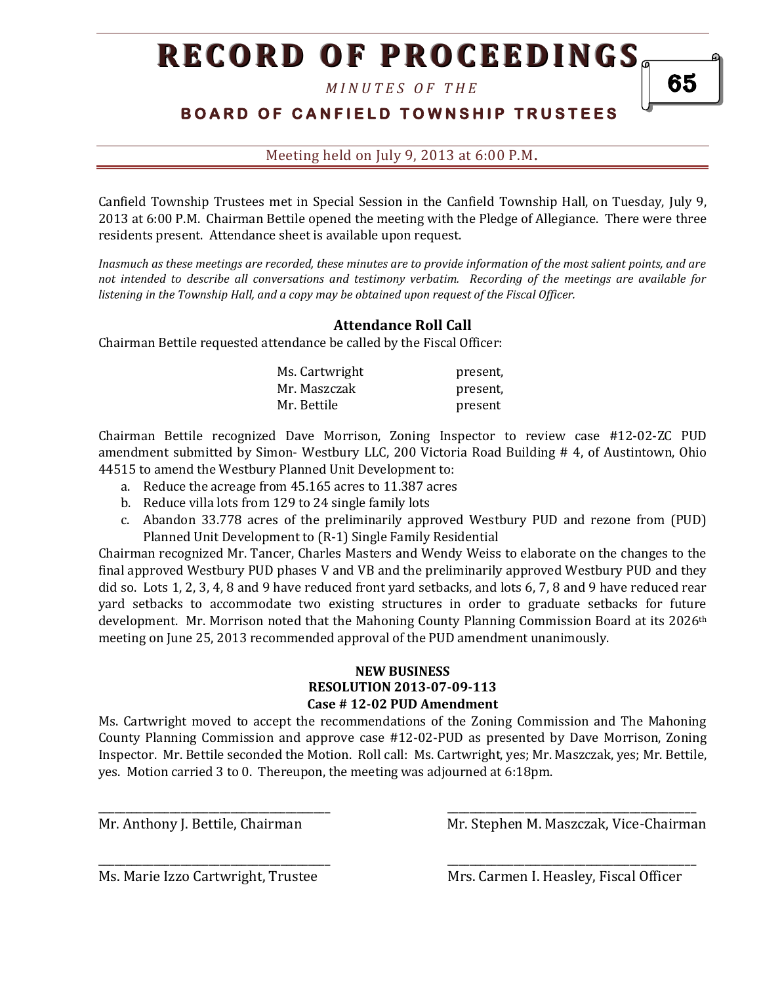# **RECORD OF PROCEEDINGS**

*M I N U T E S O F T H E* 

## **BOARD OF CANFIELD TOWNSHIP TRUSTEES**

Meeting held on July 9, 2013 at 6:00 P.M**.**

Canfield Township Trustees met in Special Session in the Canfield Township Hall, on Tuesday, July 9, 2013 at 6:00 P.M. Chairman Bettile opened the meeting with the Pledge of Allegiance. There were three residents present. Attendance sheet is available upon request.

*Inasmuch as these meetings are recorded, these minutes are to provide information of the most salient points, and are not intended to describe all conversations and testimony verbatim. Recording of the meetings are available for listening in the Township Hall, and a copy may be obtained upon request of the Fiscal Officer.* 

### **Attendance Roll Call**

Chairman Bettile requested attendance be called by the Fiscal Officer:

| Ms. Cartwright | present. |
|----------------|----------|
| Mr. Maszczak   | present. |
| Mr. Bettile    | present  |

Chairman Bettile recognized Dave Morrison, Zoning Inspector to review case #12-02-ZC PUD amendment submitted by Simon- Westbury LLC, 200 Victoria Road Building # 4, of Austintown, Ohio 44515 to amend the Westbury Planned Unit Development to:

- a. Reduce the acreage from 45.165 acres to 11.387 acres
- b. Reduce villa lots from 129 to 24 single family lots
- c. Abandon 33.778 acres of the preliminarily approved Westbury PUD and rezone from (PUD) Planned Unit Development to (R-1) Single Family Residential

Chairman recognized Mr. Tancer, Charles Masters and Wendy Weiss to elaborate on the changes to the final approved Westbury PUD phases V and VB and the preliminarily approved Westbury PUD and they did so. Lots 1, 2, 3, 4, 8 and 9 have reduced front yard setbacks, and lots 6, 7, 8 and 9 have reduced rear yard setbacks to accommodate two existing structures in order to graduate setbacks for future development. Mr. Morrison noted that the Mahoning County Planning Commission Board at its 2026<sup>th</sup> meeting on June 25, 2013 recommended approval of the PUD amendment unanimously.

#### **NEW BUSINESS RESOLUTION 2013-07-09-113 Case # 12-02 PUD Amendment**

Ms. Cartwright moved to accept the recommendations of the Zoning Commission and The Mahoning County Planning Commission and approve case #12-02-PUD as presented by Dave Morrison, Zoning Inspector. Mr. Bettile seconded the Motion. Roll call: Ms. Cartwright, yes; Mr. Maszczak, yes; Mr. Bettile, yes. Motion carried 3 to 0. Thereupon, the meeting was adjourned at 6:18pm.

\_\_\_\_\_\_\_\_\_\_\_\_\_\_\_\_\_\_\_\_\_\_\_\_\_\_\_\_\_\_\_\_\_\_\_\_\_\_\_\_\_\_ \_\_\_\_\_\_\_\_\_\_\_\_\_\_\_\_\_\_\_\_\_\_\_\_\_\_\_\_\_\_\_\_\_\_\_\_\_\_\_\_\_\_\_\_\_

\_\_\_\_\_\_\_\_\_\_\_\_\_\_\_\_\_\_\_\_\_\_\_\_\_\_\_\_\_\_\_\_\_\_\_\_\_\_\_\_\_\_ \_\_\_\_\_\_\_\_\_\_\_\_\_\_\_\_\_\_\_\_\_\_\_\_\_\_\_\_\_\_\_\_\_\_\_\_\_\_\_\_\_\_\_\_\_

Mr. Anthony J. Bettile, Chairman Mr. Stephen M. Maszczak, Vice-Chairman

Ms. Marie Izzo Cartwright, Trustee Mrs. Carmen I. Heasley, Fiscal Officer

65